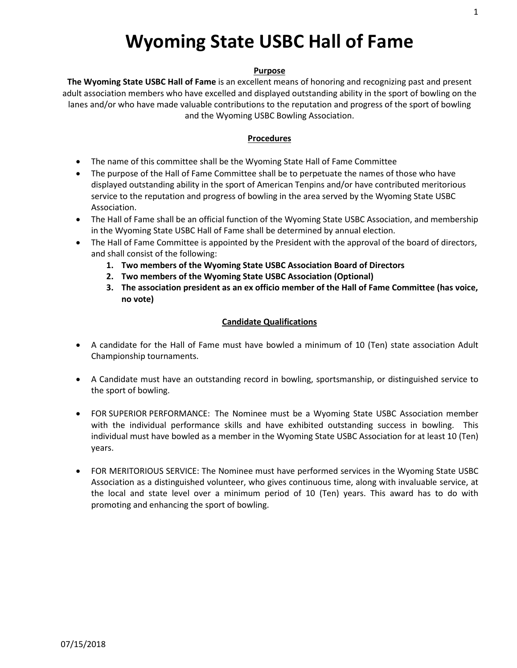# **Wyoming State USBC Hall of Fame**

#### **Purpose**

**The Wyoming State USBC Hall of Fame** is an excellent means of honoring and recognizing past and present adult association members who have excelled and displayed outstanding ability in the sport of bowling on the lanes and/or who have made valuable contributions to the reputation and progress of the sport of bowling and the Wyoming USBC Bowling Association.

#### **Procedures**

- The name of this committee shall be the Wyoming State Hall of Fame Committee
- The purpose of the Hall of Fame Committee shall be to perpetuate the names of those who have displayed outstanding ability in the sport of American Tenpins and/or have contributed meritorious service to the reputation and progress of bowling in the area served by the Wyoming State USBC Association.
- The Hall of Fame shall be an official function of the Wyoming State USBC Association, and membership in the Wyoming State USBC Hall of Fame shall be determined by annual election.
- The Hall of Fame Committee is appointed by the President with the approval of the board of directors, and shall consist of the following:
	- **1. Two members of the Wyoming State USBC Association Board of Directors**
	- **2. Two members of the Wyoming State USBC Association (Optional)**
	- **3. The association president as an ex officio member of the Hall of Fame Committee (has voice, no vote)**

## **Candidate Qualifications**

- A candidate for the Hall of Fame must have bowled a minimum of 10 (Ten) state association Adult Championship tournaments.
- A Candidate must have an outstanding record in bowling, sportsmanship, or distinguished service to the sport of bowling.
- FOR SUPERIOR PERFORMANCE: The Nominee must be a Wyoming State USBC Association member with the individual performance skills and have exhibited outstanding success in bowling. This individual must have bowled as a member in the Wyoming State USBC Association for at least 10 (Ten) years.
- FOR MERITORIOUS SERVICE: The Nominee must have performed services in the Wyoming State USBC Association as a distinguished volunteer, who gives continuous time, along with invaluable service, at the local and state level over a minimum period of 10 (Ten) years. This award has to do with promoting and enhancing the sport of bowling.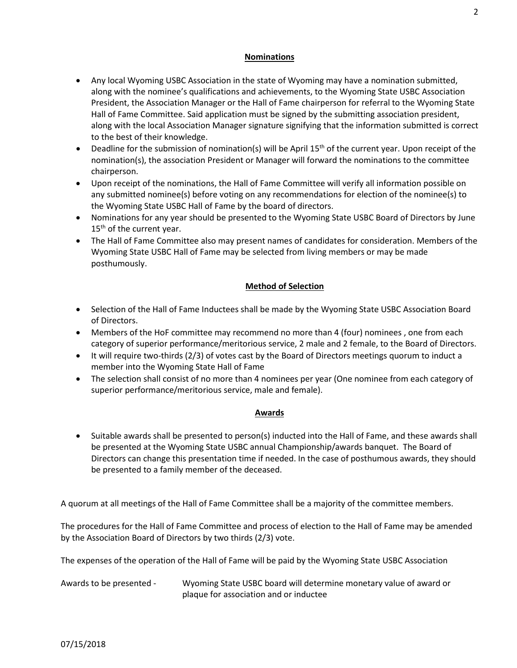#### **Nominations**

- Any local Wyoming USBC Association in the state of Wyoming may have a nomination submitted, along with the nominee's qualifications and achievements, to the Wyoming State USBC Association President, the Association Manager or the Hall of Fame chairperson for referral to the Wyoming State Hall of Fame Committee. Said application must be signed by the submitting association president, along with the local Association Manager signature signifying that the information submitted is correct to the best of their knowledge.
- Deadline for the submission of nomination(s) will be April 15<sup>th</sup> of the current year. Upon receipt of the nomination(s), the association President or Manager will forward the nominations to the committee chairperson.
- Upon receipt of the nominations, the Hall of Fame Committee will verify all information possible on any submitted nominee(s) before voting on any recommendations for election of the nominee(s) to the Wyoming State USBC Hall of Fame by the board of directors.
- Nominations for any year should be presented to the Wyoming State USBC Board of Directors by June  $15<sup>th</sup>$  of the current year.
- The Hall of Fame Committee also may present names of candidates for consideration. Members of the Wyoming State USBC Hall of Fame may be selected from living members or may be made posthumously.

## **Method of Selection**

- Selection of the Hall of Fame Inductees shall be made by the Wyoming State USBC Association Board of Directors.
- Members of the HoF committee may recommend no more than 4 (four) nominees , one from each category of superior performance/meritorious service, 2 male and 2 female, to the Board of Directors.
- It will require two-thirds (2/3) of votes cast by the Board of Directors meetings quorum to induct a member into the Wyoming State Hall of Fame
- The selection shall consist of no more than 4 nominees per year (One nominee from each category of superior performance/meritorious service, male and female).

## **Awards**

• Suitable awards shall be presented to person(s) inducted into the Hall of Fame, and these awards shall be presented at the Wyoming State USBC annual Championship/awards banquet. The Board of Directors can change this presentation time if needed. In the case of posthumous awards, they should be presented to a family member of the deceased.

A quorum at all meetings of the Hall of Fame Committee shall be a majority of the committee members.

The procedures for the Hall of Fame Committee and process of election to the Hall of Fame may be amended by the Association Board of Directors by two thirds (2/3) vote.

The expenses of the operation of the Hall of Fame will be paid by the Wyoming State USBC Association

Awards to be presented - Wyoming State USBC board will determine monetary value of award or plaque for association and or inductee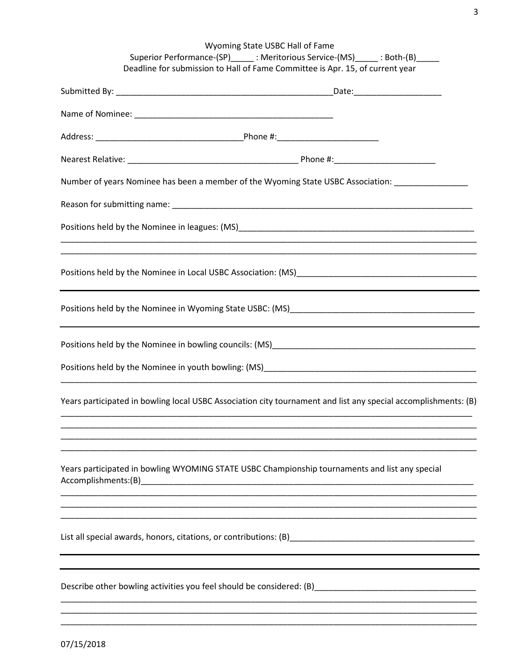| Wyoming State USBC Hall of Fame<br>Superior Performance-(SP)______: Meritorious Service-(MS)______: Both-(B)_____<br>Deadline for submission to Hall of Fame Committee is Apr. 15, of current year |
|----------------------------------------------------------------------------------------------------------------------------------------------------------------------------------------------------|
|                                                                                                                                                                                                    |
|                                                                                                                                                                                                    |
|                                                                                                                                                                                                    |
|                                                                                                                                                                                                    |
| Number of years Nominee has been a member of the Wyoming State USBC Association: _________________                                                                                                 |
|                                                                                                                                                                                                    |
|                                                                                                                                                                                                    |
| ,我们也不能在这里的时候,我们也不能在这里的时候,我们也不能会在这里,我们也不能会不能会不能会不能会。""我们的人,我们也不能会不能会不能会不能会不能会不能会不                                                                                                                   |
|                                                                                                                                                                                                    |
|                                                                                                                                                                                                    |
|                                                                                                                                                                                                    |
|                                                                                                                                                                                                    |
| Years participated in bowling local USBC Association city tournament and list any special accomplishments: (B)                                                                                     |
|                                                                                                                                                                                                    |
| Years participated in bowling WYOMING STATE USBC Championship tournaments and list any special<br>Accomplishments:(B)                                                                              |
|                                                                                                                                                                                                    |
| Describe other bowling activities you feel should be considered: (B) _______________________________                                                                                               |